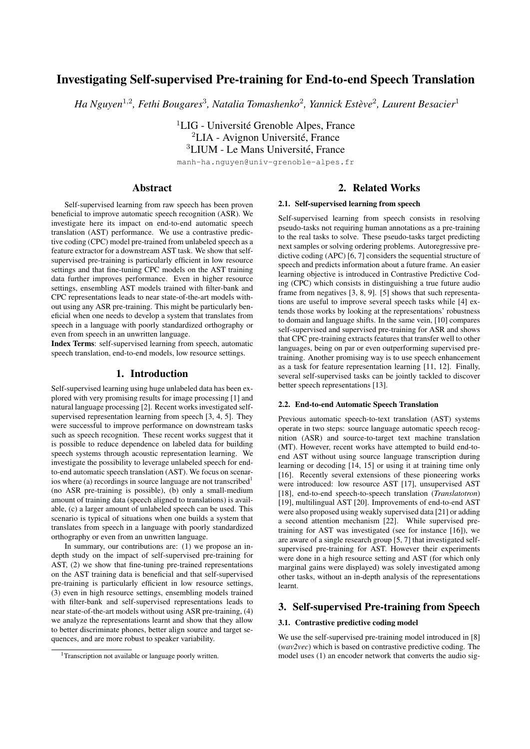# Investigating Self-supervised Pre-training for End-to-end Speech Translation

 $Ha$  Nguyen<sup>1,2</sup>, Fethi Bougares<sup>3</sup>, Natalia Tomashenko<sup>2</sup>, Yannick Estève<sup>2</sup>, Laurent Besacier<sup>1</sup>

<sup>1</sup>LIG - Université Grenoble Alpes, France  ${}^{2}$ LIA - Avignon Université, France <sup>3</sup>LIUM - Le Mans Université, France

manh-ha.nguyen@univ-grenoble-alpes.fr

# Abstract

Self-supervised learning from raw speech has been proven beneficial to improve automatic speech recognition (ASR). We investigate here its impact on end-to-end automatic speech translation (AST) performance. We use a contrastive predictive coding (CPC) model pre-trained from unlabeled speech as a feature extractor for a downstream AST task. We show that selfsupervised pre-training is particularly efficient in low resource settings and that fine-tuning CPC models on the AST training data further improves performance. Even in higher resource settings, ensembling AST models trained with filter-bank and CPC representations leads to near state-of-the-art models without using any ASR pre-training. This might be particularly beneficial when one needs to develop a system that translates from speech in a language with poorly standardized orthography or even from speech in an unwritten language.

Index Terms: self-supervised learning from speech, automatic speech translation, end-to-end models, low resource settings.

### 1. Introduction

Self-supervised learning using huge unlabeled data has been explored with very promising results for image processing [1] and natural language processing [2]. Recent works investigated selfsupervised representation learning from speech [3, 4, 5]. They were successful to improve performance on downstream tasks such as speech recognition. These recent works suggest that it is possible to reduce dependence on labeled data for building speech systems through acoustic representation learning. We investigate the possibility to leverage unlabeled speech for endto-end automatic speech translation (AST). We focus on scenarios where (a) recordings in source language are not transcribed<sup>1</sup> (no ASR pre-training is possible), (b) only a small-medium amount of training data (speech aligned to translations) is available, (c) a larger amount of unlabeled speech can be used. This scenario is typical of situations when one builds a system that translates from speech in a language with poorly standardized orthography or even from an unwritten language.

In summary, our contributions are: (1) we propose an indepth study on the impact of self-supervised pre-training for AST, (2) we show that fine-tuning pre-trained representations on the AST training data is beneficial and that self-supervised pre-training is particularly efficient in low resource settings, (3) even in high resource settings, ensembling models trained with filter-bank and self-supervised representations leads to near state-of-the-art models without using ASR pre-training, (4) we analyze the representations learnt and show that they allow to better discriminate phones, better align source and target sequences, and are more robust to speaker variability.

# 2. Related Works

#### 2.1. Self-supervised learning from speech

Self-supervised learning from speech consists in resolving pseudo-tasks not requiring human annotations as a pre-training to the real tasks to solve. These pseudo-tasks target predicting next samples or solving ordering problems. Autoregressive predictive coding (APC) [6, 7] considers the sequential structure of speech and predicts information about a future frame. An easier learning objective is introduced in Contrastive Predictive Coding (CPC) which consists in distinguishing a true future audio frame from negatives [3, 8, 9]. [5] shows that such representations are useful to improve several speech tasks while [4] extends those works by looking at the representations' robustness to domain and language shifts. In the same vein, [10] compares self-supervised and supervised pre-training for ASR and shows that CPC pre-training extracts features that transfer well to other languages, being on par or even outperforming supervised pretraining. Another promising way is to use speech enhancement as a task for feature representation learning [11, 12]. Finally, several self-supervised tasks can be jointly tackled to discover better speech representations [13].

### 2.2. End-to-end Automatic Speech Translation

Previous automatic speech-to-text translation (AST) systems operate in two steps: source language automatic speech recognition (ASR) and source-to-target text machine translation (MT). However, recent works have attempted to build end-toend AST without using source language transcription during learning or decoding [14, 15] or using it at training time only [16]. Recently several extensions of these pioneering works were introduced: low resource AST [17], unsupervised AST [18], end-to-end speech-to-speech translation (*Translatotron*) [19], multilingual AST [20]. Improvements of end-to-end AST were also proposed using weakly supervised data [21] or adding a second attention mechanism [22]. While supervised pretraining for AST was investigated (see for instance [16]), we are aware of a single research group [5, 7] that investigated selfsupervised pre-training for AST. However their experiments were done in a high resource setting and AST (for which only marginal gains were displayed) was solely investigated among other tasks, without an in-depth analysis of the representations learnt.

# 3. Self-supervised Pre-training from Speech

### 3.1. Contrastive predictive coding model

We use the self-supervised pre-training model introduced in [8] (*wav2vec*) which is based on contrastive predictive coding. The model uses (1) an encoder network that converts the audio sig-

<sup>&</sup>lt;sup>1</sup>Transcription not available or language poorly written.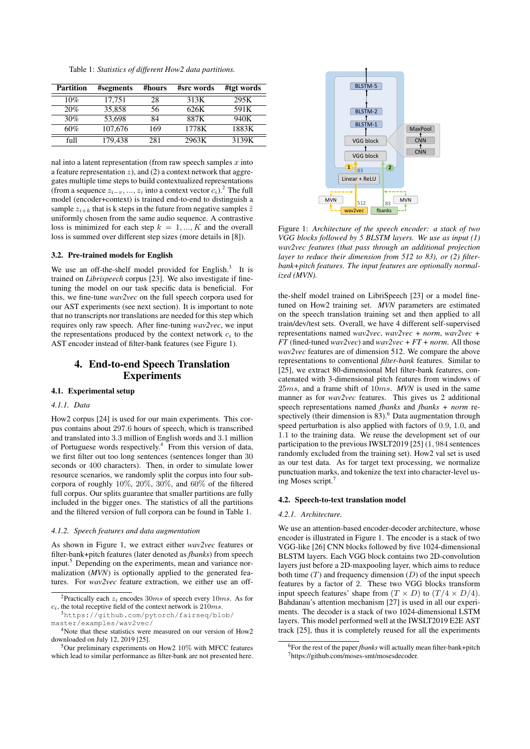Table 1: *Statistics of different How2 data partitions.*

| <b>Partition</b> | #segments | #hours | #src words | #tgt words |
|------------------|-----------|--------|------------|------------|
| 10%              | 17,751    | 28     | 313K       | 295K       |
| 20%              | 35.858    | 56     | 626K       | 591K       |
| 30%              | 53.698    | 84     | 887K       | 940K       |
| 60%              | 107,676   | 169    | 1778K      | 1883K      |
| full             | 179.438   | 281    | 2963K      | 3139K      |

nal into a latent representation (from raw speech samples  $x$  into a feature representation  $z$ ), and (2) a context network that aggregates multiple time steps to build contextualized representations (from a sequence  $z_{i-v}$ , ...,  $z_i$  into a context vector  $c_i$ ).<sup>2</sup> The full model (encoder+context) is trained end-to-end to distinguish a sample  $z_{i+k}$  that is k steps in the future from negative samples  $\tilde{z}$ uniformly chosen from the same audio sequence. A contrastive loss is minimized for each step  $k = 1, ..., K$  and the overall loss is summed over different step sizes (more details in [8]).

#### 3.2. Pre-trained models for English

We use an off-the-shelf model provided for English.<sup>3</sup> It is trained on *Librispeech* corpus [23]. We also investigate if finetuning the model on our task specific data is beneficial. For this, we fine-tune *wav2vec* on the full speech corpora used for our AST experiments (see next section). It is important to note that no transcripts nor translations are needed for this step which requires only raw speech. After fine-tuning *wav2vec*, we input the representations produced by the context network  $c_i$  to the AST encoder instead of filter-bank features (see Figure 1).

# 4. End-to-end Speech Translation Experiments

#### 4.1. Experimental setup

## *4.1.1. Data*

How2 corpus [24] is used for our main experiments. This corpus contains about 297.6 hours of speech, which is transcribed and translated into 3.3 million of English words and 3.1 million of Portuguese words respectively.<sup>4</sup> From this version of data, we first filter out too long sentences (sentences longer than 30 seconds or 400 characters). Then, in order to simulate lower resource scenarios, we randomly split the corpus into four subcorpora of roughly  $10\%$ ,  $20\%$ ,  $30\%$ , and  $60\%$  of the filtered full corpus. Our splits guarantee that smaller partitions are fully included in the bigger ones. The statistics of all the partitions and the filtered version of full corpora can be found in Table 1.

#### *4.1.2. Speech features and data augmentation*

As shown in Figure 1, we extract either *wav2vec* features or filter-bank+pitch features (later denoted as *fbanks*) from speech input.<sup>5</sup> Depending on the experiments, mean and variance normalization (*MVN*) is optionally applied to the generated features. For *wav2vec* feature extraction, we either use an off-



Figure 1: *Architecture of the speech encoder: a stack of two VGG blocks followed by 5 BLSTM layers. We use as input (1) wav2vec features (that pass through an additional projection layer to reduce their dimension from 512 to 83), or (2) filterbank+pitch features. The input features are optionally normalized (MVN).*

the-shelf model trained on LibriSpeech [23] or a model finetuned on How2 training set. *MVN* parameters are estimated on the speech translation training set and then applied to all train/dev/test sets. Overall, we have 4 different self-supervised representations named *wav2vec*, *wav2vec + norm*, *wav2vec + FT* (fined-tuned *wav2vec*) and *wav2vec + FT + norm*. All those *wav2vec* features are of dimension 512. We compare the above representations to conventional *filter-bank* features. Similar to [25], we extract 80-dimensional Mel filter-bank features, concatenated with 3-dimensional pitch features from windows of 25ms, and a frame shift of 10ms. *MVN* is used in the same manner as for *wav2vec* features. This gives us 2 additional speech representations named *fbanks* and *fbanks + norm* respectively (their dimension is  $83$ ).<sup>6</sup> Data augmentation through speed perturbation is also applied with factors of 0.9, 1.0, and 1.1 to the training data. We reuse the development set of our participation to the previous IWSLT2019 [25] (1, 984 sentences randomly excluded from the training set). How2 val set is used as our test data. As for target text processing, we normalize punctuation marks, and tokenize the text into character-level using Moses script.<sup>7</sup>

#### 4.2. Speech-to-text translation model

#### *4.2.1. Architecture.*

We use an attention-based encoder-decoder architecture, whose encoder is illustrated in Figure 1. The encoder is a stack of two VGG-like [26] CNN blocks followed by five 1024-dimensional BLSTM layers. Each VGG block contains two 2D-convolution layers just before a 2D-maxpooling layer, which aims to reduce both time  $(T)$  and frequency dimension  $(D)$  of the input speech features by a factor of 2. These two VGG blocks transform input speech features' shape from  $(T \times D)$  to  $(T/4 \times D/4)$ . Bahdanau's attention mechanism [27] is used in all our experiments. The decoder is a stack of two 1024-dimensional LSTM layers. This model performed well at the IWSLT2019 E2E AST track [25], thus it is completely reused for all the experiments

<sup>&</sup>lt;sup>2</sup>Practically each  $z_i$  encodes 30ms of speech every 10ms. As for  $c_i$ , the total receptive field of the context network is  $210ms$ .

<sup>3</sup>https://github.com/pytorch/fairseq/blob/ master/examples/wav2vec/

<sup>4</sup>Note that these statistics were measured on our version of How2 downloaded on July 12, 2019 [25].

<sup>5</sup>Our preliminary experiments on How2 10% with MFCC features which lead to similar performance as filter-bank are not presented here.

<sup>6</sup>For the rest of the paper *fbanks* will actually mean filter-bank+pitch <sup>7</sup>https://github.com/moses-smt/mosesdecoder.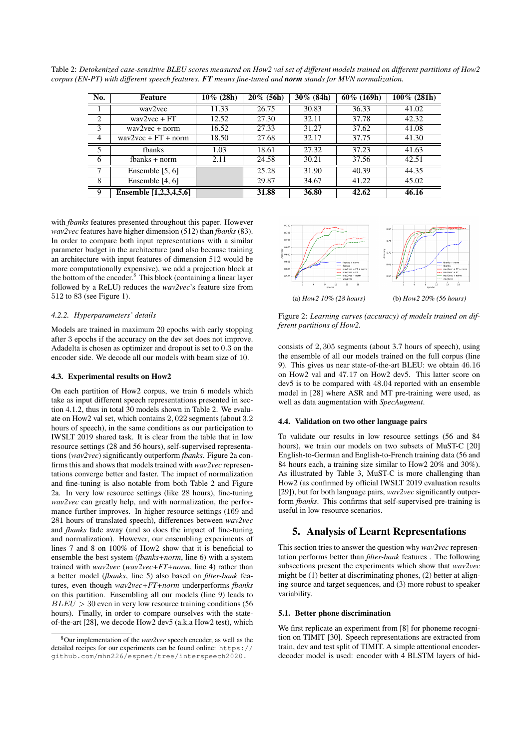Table 2: *Detokenized case-sensitive BLEU scores measured on How2 val set of different models trained on different partitions of How2 corpus (EN-PT) with different speech features. FT means fine-tuned and norm stands for MVN normalization.*

| No.            | Feature                                    | $10\%$ (28h) | $20\%$ (56h) | $30\%$ (84h) | $60\%$ (169h) | $100\%$ (281h) |
|----------------|--------------------------------------------|--------------|--------------|--------------|---------------|----------------|
|                | way2yec                                    | 11.33        | 26.75        | 30.83        | 36.33         | 41.02          |
| 2              | $\frac{way2vec + FT}{}$                    | 12.52        | 27.30        | 32.11        | 37.78         | 42.32          |
| 3              | $\frac{way2vec + norm}{}$                  | 16.52        | 27.33        | 31.27        | 37.62         | 41.08          |
| $\overline{4}$ | $\text{wav2vec} + \text{FT} + \text{norm}$ | 18.50        | 27.68        | 32.17        | 37.75         | 41.30          |
| 5              | fbanks                                     | 1.03         | 18.61        | 27.32        | 37.23         | 41.63          |
| 6              | $f$ banks + norm                           | 2.11         | 24.58        | 30.21        | 37.56         | 42.51          |
| 7              | Ensemble $[5, 6]$                          |              | 25.28        | 31.90        | 40.39         | 44.35          |
| 8              | Ensemble $[4, 6]$                          |              | 29.87        | 34.67        | 41.22         | 45.02          |
| 9              | Ensemble [1,2,3,4,5,6]                     |              | 31.88        | 36.80        | 42.62         | 46.16          |

with *fbanks* features presented throughout this paper. However *wav2vec* features have higher dimension (512) than *fbanks* (83). In order to compare both input representations with a similar parameter budget in the architecture (and also because training an architecture with input features of dimension 512 would be more computationally expensive), we add a projection block at the bottom of the encoder. $8$  This block (containing a linear layer followed by a ReLU) reduces the *wav2vec*'s feature size from 512 to 83 (see Figure 1).

#### *4.2.2. Hyperparameters' details*

Models are trained in maximum 20 epochs with early stopping after 3 epochs if the accuracy on the dev set does not improve. Adadelta is chosen as optimizer and dropout is set to 0.3 on the encoder side. We decode all our models with beam size of 10.

#### 4.3. Experimental results on How2

On each partition of How2 corpus, we train 6 models which take as input different speech representations presented in section 4.1.2, thus in total 30 models shown in Table 2. We evaluate on How2 val set, which contains 2, 022 segments (about 3.2 hours of speech), in the same conditions as our participation to IWSLT 2019 shared task. It is clear from the table that in low resource settings (28 and 56 hours), self-supervised representations (*wav2vec*) significantly outperform *fbanks*. Figure 2a confirms this and shows that models trained with *wav2vec* representations converge better and faster. The impact of normalization and fine-tuning is also notable from both Table 2 and Figure 2a. In very low resource settings (like 28 hours), fine-tuning *wav2vec* can greatly help, and with normalization, the performance further improves. In higher resource settings (169 and 281 hours of translated speech), differences between *wav2vec* and *fbanks* fade away (and so does the impact of fine-tuning and normalization). However, our ensembling experiments of lines 7 and 8 on 100% of How2 show that it is beneficial to ensemble the best system (*fbanks+norm*, line 6) with a system trained with *wav2vec* (*wav2vec+FT+norm*, line 4) rather than a better model (*fbanks*, line 5) also based on *filter-bank* features, even though *wav2vec+FT+norm* underperforms *fbanks* on this partition. Ensembling all our models (line 9) leads to  $BLEU > 30$  even in very low resource training conditions (56) hours). Finally, in order to compare ourselves with the stateof-the-art [28], we decode How2 dev5 (a.k.a How2 test), which



Figure 2: *Learning curves (accuracy) of models trained on different partitions of How2.*

consists of 2, 305 segments (about 3.7 hours of speech), using the ensemble of all our models trained on the full corpus (line 9). This gives us near state-of-the-art BLEU: we obtain 46.16 on How2 val and 47.17 on How2 dev5. This latter score on dev5 is to be compared with 48.04 reported with an ensemble model in [28] where ASR and MT pre-training were used, as well as data augmentation with *SpecAugment*.

#### 4.4. Validation on two other language pairs

To validate our results in low resource settings (56 and 84 hours), we train our models on two subsets of MuST-C [20] English-to-German and English-to-French training data (56 and 84 hours each, a training size similar to How2 20% and 30%). As illustrated by Table 3, MuST-C is more challenging than How2 (as confirmed by official IWSLT 2019 evaluation results [29]), but for both language pairs, *wav2vec* significantly outperform *fbanks*. This confirms that self-supervised pre-training is useful in low resource scenarios.

### 5. Analysis of Learnt Representations

This section tries to answer the question why *wav2vec* representation performs better than *filter-bank* features . The following subsections present the experiments which show that *wav2vec* might be (1) better at discriminating phones, (2) better at aligning source and target sequences, and (3) more robust to speaker variability.

#### 5.1. Better phone discrimination

We first replicate an experiment from [8] for phoneme recognition on TIMIT [30]. Speech representations are extracted from train, dev and test split of TIMIT. A simple attentional encoderdecoder model is used: encoder with 4 BLSTM layers of hid-

<sup>8</sup>Our implementation of the *wav2vec* speech encoder, as well as the detailed recipes for our experiments can be found online: https:// github.com/mhn226/espnet/tree/interspeech2020.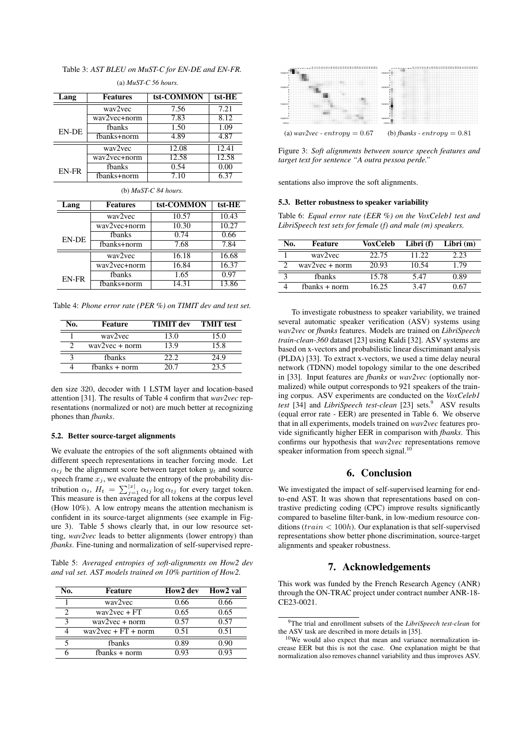Table 3: *AST BLEU on MuST-C for EN-DE and EN-FR.*

| Lang                   | <b>Features</b> | tst-COMMON | tst-HE |  |  |  |
|------------------------|-----------------|------------|--------|--|--|--|
| way2yec                |                 | 7.56       | 7.21   |  |  |  |
|                        | wav2vec+norm    | 7.83       | 8.12   |  |  |  |
| EN-DE                  | fbanks          | 1.50       | 1.09   |  |  |  |
|                        | fbanks+norm     | 4.89       | 4.87   |  |  |  |
|                        | way2yec         | 12.08      | 12.41  |  |  |  |
|                        | wav2vec+norm    | 12.58      | 12.58  |  |  |  |
| EN-FR                  | fbanks          | 0.54       | 0.00   |  |  |  |
|                        | fbanks+norm     | 7.10       | 6.37   |  |  |  |
| (b) $MuST-C$ 84 hours. |                 |            |        |  |  |  |
| Lang                   | <b>Features</b> | tst-COMMON | tst-HE |  |  |  |
|                        | wav2vec         | 10.57      | 10.43  |  |  |  |
| wav2vec+norm           |                 | 10.30      | 10.27  |  |  |  |
| <b>EN-DE</b>           | fbanks          | 0.74       | 0.66   |  |  |  |
|                        | fbanks+norm     | 7.68       | 7.84   |  |  |  |
|                        | wav2vec         | 16.18      | 16.68  |  |  |  |
|                        | wav2vec+norm    | 16.84      | 16.37  |  |  |  |
| EN-FR                  | fbanks          | 1.65       | 0.97   |  |  |  |
|                        | fbanks+norm     | 14.31      | 13.86  |  |  |  |

(a) *MuST-C 56 hours.*

Table 4: *Phone error rate (PER %) on TIMIT dev and test set.*

| No. | Feature                   | <b>TIMIT</b> dev | <b>TMIT</b> test |
|-----|---------------------------|------------------|------------------|
|     | way2yec                   | 13.0             | 15.0             |
|     | $\frac{way2vec + norm}{}$ | 13.9             | 15.8             |
|     | fbanks                    | 22.2             | 24.9             |
|     | $f$ hanks + norm          | 20 7             | 23.5             |

den size 320, decoder with 1 LSTM layer and location-based attention [31]. The results of Table 4 confirm that *wav2vec* representations (normalized or not) are much better at recognizing phones than *fbanks*.

#### 5.2. Better source-target alignments

We evaluate the entropies of the soft alignments obtained with different speech representations in teacher forcing mode. Let  $\alpha_{t}$  be the alignment score between target token  $y_t$  and source speech frame  $x_j$ , we evaluate the entropy of the probability distribution  $\alpha_t$ ,  $H_t = \sum_{j=1}^{|x|} \alpha_{tj} \log \alpha_{tj}$  for every target token. This measure is then averaged for all tokens at the corpus level (How 10%). A low entropy means the attention mechanism is confident in its source-target alignments (see example in Figure 3). Table 5 shows clearly that, in our low resource setting, *wav2vec* leads to better alignments (lower entropy) than *fbanks*. Fine-tuning and normalization of self-supervised repre-

Table 5: *Averaged entropies of soft-alignments on How2 dev and val set. AST models trained on 10% partition of How2.*

| No. | Feature                                    | How2 dev | How2 val |
|-----|--------------------------------------------|----------|----------|
|     | way2yec                                    | 0.66     | 0.66     |
| າ   | $way2vec + FT$                             | 0.65     | 0.65     |
| 3   | $wav2vec + norm$                           | 0.57     | 0.57     |
|     | $\text{wav2vec} + \text{FT} + \text{norm}$ | 0.51     | 0.51     |
| 5   | fbanks                                     | 0.89     | 0.90     |
|     | $f$ banks $+$ norm                         | 0.93     | 0.93     |



Figure 3: *Soft alignments between source speech features and target text for sentence "A outra pessoa perde."*

sentations also improve the soft alignments.

#### 5.3. Better robustness to speaker variability

Table 6: *Equal error rate (EER %) on the VoxCeleb1 test and LibriSpeech test sets for female (f) and male (m) speakers.*

| No.          | Feature                                  | VoxCeleb | Libri (f) | Libri $(m)$ |
|--------------|------------------------------------------|----------|-----------|-------------|
|              | way2yec                                  | 22.75    | 11.22     | 2.23        |
| $\gamma$     | $\frac{2\text{v} - \text{v}}{2\text{v}}$ | 20.93    | 10.54     | 1.79        |
| $\mathbf{c}$ | fbanks                                   | 15.78    | 5.47      | 0.89        |
|              | $f$ banks + norm                         | 16.25    | 3.47      | በ 67        |

To investigate robustness to speaker variability, we trained several automatic speaker verification (ASV) systems using *wav2vec* or *fbanks* features. Models are trained on *LibriSpeech train-clean-360* dataset [23] using Kaldi [32]. ASV systems are based on x-vectors and probabilistic linear discriminant analysis (PLDA) [33]. To extract x-vectors, we used a time delay neural network (TDNN) model topology similar to the one described in [33]. Input features are *fbanks* or *wav2vec* (optionally normalized) while output corresponds to 921 speakers of the training corpus. ASV experiments are conducted on the *VoxCeleb1 test* [34] and *LibriSpeech test-clean* [23] sets.<sup>9</sup> ASV results (equal error rate - EER) are presented in Table 6. We observe that in all experiments, models trained on *wav2vec* features provide significantly higher EER in comparison with *fbanks*. This confirms our hypothesis that *wav2vec* representations remove speaker information from speech signal. $<sup>1</sup>$ </sup>

### 6. Conclusion

We investigated the impact of self-supervised learning for endto-end AST. It was shown that representations based on contrastive predicting coding (CPC) improve results significantly compared to baseline filter-bank, in low-medium resource conditions ( $train < 100h$ ). Our explanation is that self-supervised representations show better phone discrimination, source-target alignments and speaker robustness.

# 7. Acknowledgements

This work was funded by the French Research Agency (ANR) through the ON-TRAC project under contract number ANR-18- CE23-0021.

<sup>9</sup>The trial and enrollment subsets of the *LibriSpeech test-clean* for the ASV task are described in more details in [35].

 $10$ We would also expect that mean and variance normalization increase EER but this is not the case. One explanation might be that normalization also removes channel variability and thus improves ASV.